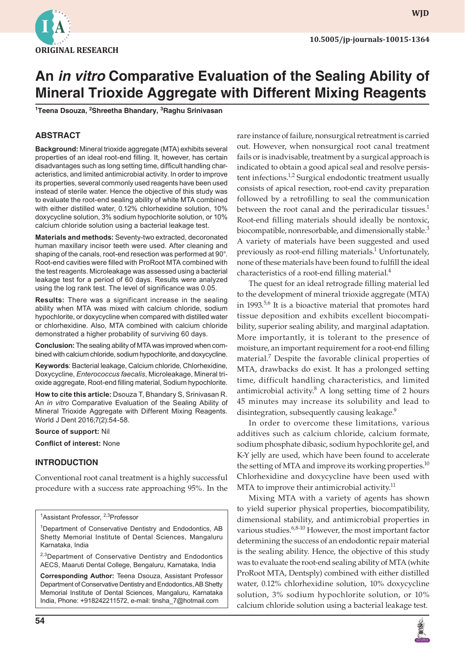

**wjd**

# **An in vitro Comparative Evaluation of the Sealing Ability of Mineral Trioxide Aggregate with Different Mixing Reagents**

**1 Teena Dsouza, 2 Shreetha Bhandary, <sup>3</sup> Raghu Srinivasan**

#### **ABSTRACT**

**Background:** Mineral trioxide aggregate (MTA) exhibits several properties of an ideal root-end filling. It, however, has certain disadvantages such as long setting time, difficult handling characteristics, and limited antimicrobial activity. In order to improve its properties, several commonly used reagents have been used instead of sterile water. Hence the objective of this study was to evaluate the root-end sealing ability of white MTA combined with either distilled water, 0.12% chlorhexidine solution, 10% doxycycline solution, 3% sodium hypochlorite solution, or 10% calcium chloride solution using a bacterial leakage test.

**Materials and methods:** Seventy-two extracted, decoronated human maxillary incisor teeth were used. After cleaning and shaping of the canals, root-end resection was performed at 90°. Root-end cavities were filled with ProRoot MTA combined with the test reagents. Microleakage was assessed using a bacterial leakage test for a period of 60 days. Results were analyzed using the log rank test. The level of significance was 0.05.

**Results:** There was a significant increase in the sealing ability when MTA was mixed with calcium chloride, sodium hypochlorite, or doxycycline when compared with distilled water or chlorhexidine. Also, MTA combined with calcium chloride demonstrated a higher probability of surviving 60 days.

**Conclusion:** The sealing ability of MTA was improved when combined with calcium chloride, sodium hypochlorite, and doxycycline.

**Keywords**: Bacterial leakage, Calcium chloride, Chlorhexidine, Doxycycline, *Enterococcus faecalis*, Microleakage, Mineral trioxide aggregate, Root-end filling material, Sodium hypochlorite.

**How to cite this article:** Dsouza T, Bhandary S, Srinivasan R. An *in vitro* Comparative Evaluation of the Sealing Ability of Mineral Trioxide Aggregate with Different Mixing Reagents. World J Dent 2016;7(2):54-58.

#### **Source of support:** Nil

**Conflict of interest:** None

#### **INTRODUCTION**

Conventional root canal treatment is a highly successful procedure with a success rate approaching 95%. In the

<sup>1</sup>Assistant Professor, <sup>2,3</sup>Professor

<sup>1</sup>Department of Conservative Dentistry and Endodontics, AB Shetty Memorial Institute of Dental Sciences, Mangaluru Karnataka, India

<sup>2,3</sup>Department of Conservative Dentistry and Endodontics AECS, Maaruti Dental College, Bengaluru, Karnataka, India

**Corresponding Author:** Teena Dsouza, Assistant Professor Department of Conservative Dentistry and Endodontics, AB Shetty Memorial Institute of Dental Sciences, Mangaluru, Karnataka India, Phone: +918242211572, e-mail: tinsha\_7@hotmail.com

rare instance of failure, nonsurgical retreatment is carried out. However, when nonsurgical root canal treatment fails or is inadvisable, treatment by a surgical approach is indicated to obtain a good apical seal and resolve persistent infections.<sup>1,2</sup> Surgical endodontic treatment usually consists of apical resection, root-end cavity preparation followed by a retrofilling to seal the communication between the root canal and the periradicular tissues.<sup>1</sup> Root-end filling materials should ideally be nontoxic, biocompatible, nonresorbable, and dimensionally stable.<sup>3</sup> A variety of materials have been suggested and used previously as root-end filling materials.<sup>1</sup> Unfortunately, none of these materials have been found to fulfill the ideal characteristics of a root-end filling material. $4$ 

The quest for an ideal retrograde filling material led to the development of mineral trioxide aggregate (MTA) in 1993.<sup>5,6</sup> It is a bioactive material that promotes hard tissue deposition and exhibits excellent biocompatibility, superior sealing ability, and marginal adaptation. More importantly, it is tolerant to the presence of moisture, an important requirement for a root-end filling material.7 Despite the favorable clinical properties of MTA, drawbacks do exist. It has a prolonged setting time, difficult handling characteristics, and limited antimicrobial activity. $8$  A long setting time of 2 hours 45 minutes may increase its solubility and lead to disintegration, subsequently causing leakage.<sup>9</sup>

In order to overcome these limitations, various additives such as calcium chloride, calcium formate, sodium phosphate dibasic, sodium hypochlorite gel, and K-Y jelly are used, which have been found to accelerate the setting of MTA and improve its working properties. $^{10}$ Chlorhexidine and doxycycline have been used with MTA to improve their antimicrobial activity. $11$ 

Mixing MTA with a variety of agents has shown to yield superior physical properties, biocompatibility, dimensional stability, and antimicrobial properties in various studies. $6,8-10$  However, the most important factor determining the success of an endodontic repair material is the sealing ability. Hence, the objective of this study was to evaluate the root-end sealing ability of MTA (white ProRoot MTA, Dentsply) combined with either distilled water, 0.12% chlorhexidine solution, 10% doxycycline solution, 3% sodium hypochlorite solution, or 10% calcium chloride solution using a bacterial leakage test.

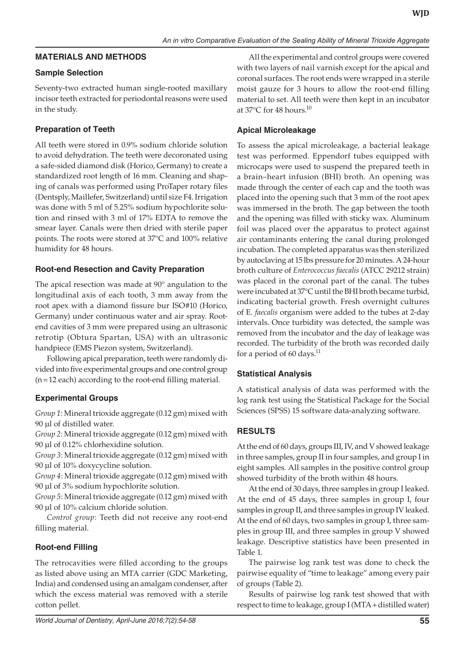#### **MATERIALS AND METHODS**

#### **Sample Selection**

Seventy-two extracted human single-rooted maxillary incisor teeth extracted for periodontal reasons were used in the study.

### **Preparation of Teeth**

All teeth were stored in 0.9% sodium chloride solution to avoid dehydration. The teeth were decoronated using a safe-sided diamond disk (Horico, Germany) to create a standardized root length of 16 mm. Cleaning and shaping of canals was performed using ProTaper rotary files (Dentsply, Maillefer, Switzerland) until size F4. Irrigation was done with 5 ml of 5.25% sodium hypochlorite solution and rinsed with 3 ml of 17% EDTA to remove the smear layer. Canals were then dried with sterile paper points. The roots were stored at 37°C and 100% relative humidity for 48 hours.

#### **Root-end Resection and Cavity Preparation**

The apical resection was made at 90° angulation to the longitudinal axis of each tooth, 3 mm away from the root apex with a diamond fissure bur ISO#10 (Horico, Germany) under continuous water and air spray. Rootend cavities of 3 mm were prepared using an ultrasonic retrotip (Obtura Spartan, USA) with an ultrasonic handpiece (EMS Piezon system, Switzerland).

Following apical preparation, teeth were randomly divided into five experimental groups and one control group (n=12 each) according to the root-end filling material.

#### **Experimental Groups**

*Group 1*: Mineral trioxide aggregate (0.12 gm) mixed with 90 μl of distilled water.

*Group 2*: Mineral trioxide aggregate (0.12 gm) mixed with 90 μl of 0.12% chlorhexidine solution.

*Group 3*: Mineral trioxide aggregate (0.12 gm) mixed with 90 μl of 10% doxycycline solution.

*Group 4*: Mineral trioxide aggregate (0.12 gm) mixed with 90 μl of 3% sodium hypochlorite solution.

*Group 5*: Mineral trioxide aggregate (0.12 gm) mixed with 90 μl of 10% calcium chloride solution.

*Control group*: Teeth did not receive any root-end filling material.

## **Root-end Filling**

The retrocavities were filled according to the groups as listed above using an MTA carrier (GDC Marketing, India) and condensed using an amalgam condenser, after which the excess material was removed with a sterile cotton pellet.

All the experimental and control groups were covered with two layers of nail varnish except for the apical and coronal surfaces. The root ends were wrapped in a sterile moist gauze for 3 hours to allow the root-end filling material to set. All teeth were then kept in an incubator at 37 $^{\circ}$ C for 48 hours.<sup>10</sup>

### **Apical Microleakage**

To assess the apical microleakage, a bacterial leakage test was performed. Eppendorf tubes equipped with microcaps were used to suspend the prepared teeth in a brain–heart infusion (BHI) broth. An opening was made through the center of each cap and the tooth was placed into the opening such that 3 mm of the root apex was immersed in the broth. The gap between the tooth and the opening was filled with sticky wax. Aluminum foil was placed over the apparatus to protect against air contaminants entering the canal during prolonged incubation. The completed apparatus was then sterilized by autoclaving at 15 lbs pressure for 20 minutes. A 24-hour broth culture of *Enterococcus faecalis* (ATCC 29212 strain) was placed in the coronal part of the canal. The tubes were incubated at 37°C until the BHI broth became turbid, indicating bacterial growth. Fresh overnight cultures of E*. faecalis* organism were added to the tubes at 2-day intervals. Once turbidity was detected, the sample was removed from the incubator and the day of leakage was recorded. The turbidity of the broth was recorded daily for a period of 60 days. $^{11}$ 

#### **Statistical Analysis**

A statistical analysis of data was performed with the log rank test using the Statistical Package for the Social Sciences (SPSS) 15 software data-analyzing software.

#### **RESULTS**

At the end of 60 days, groups III, IV, and V showed leakage in three samples, group II in four samples, and group I in eight samples. All samples in the positive control group showed turbidity of the broth within 48 hours.

At the end of 30 days, three samples in group I leaked. At the end of 45 days, three samples in group I, four samples in group II, and three samples in group IV leaked. At the end of 60 days, two samples in group I, three samples in group III, and three samples in group V showed leakage. Descriptive statistics have been presented in Table 1.

The pairwise log rank test was done to check the pairwise equality of "time to leakage" among every pair of groups (Table 2).

Results of pairwise log rank test showed that with respect to time to leakage, group I (MTA + distilled water)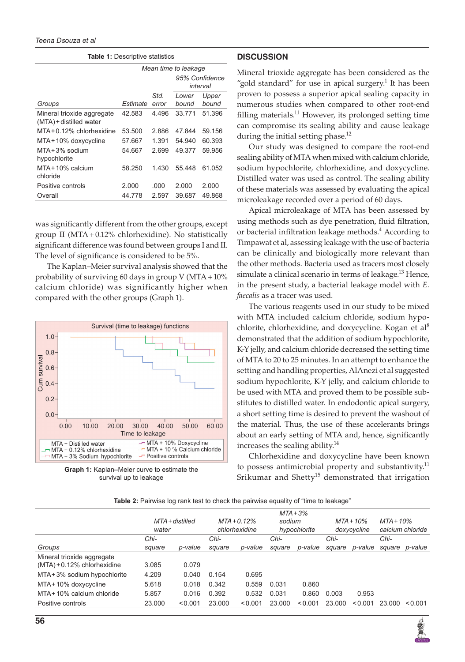|  | <b>Table 1: Descriptive statistics</b> |  |
|--|----------------------------------------|--|
|--|----------------------------------------|--|

|                                                       | Mean time to leakage |                            |                |                |  |  |
|-------------------------------------------------------|----------------------|----------------------------|----------------|----------------|--|--|
|                                                       |                      | 95% Confidence<br>interval |                |                |  |  |
| Groups                                                | Estimate             | Std.<br>error              | Lower<br>bound | Upper<br>hound |  |  |
| Mineral trioxide aggregate<br>(MTA) + distilled water | 42.583               | 4496                       | 33.771         | 51.396         |  |  |
| MTA+0.12% chlorhexidine                               | 53.500               | 2.886                      | 47.844         | 59.156         |  |  |
| MTA+10% doxycycline                                   | 57.667               | 1.391                      | 54.940         | 60.393         |  |  |
| $MTA + 3\%$ sodium<br>hypochlorite                    | 54.667               | 2.699                      | 49.377         | 59.956         |  |  |
| MTA + 10% calcium<br>chloride                         | 58.250               | 1.430                      | 55.448         | 61.052         |  |  |
| Positive controls                                     | 2.000                | .000                       | 2.000          | 2.000          |  |  |
| Overall                                               | 44.778               | 2.597                      | 39.687         | 49.868         |  |  |

was significantly different from the other groups, except group II (MTA+0.12% chlorhexidine). No statistically significant difference was found between groups I and II. The level of significance is considered to be 5%.

The Kaplan–Meier survival analysis showed that the probability of surviving 60 days in group V (MTA +  $10\%$ calcium chloride) was significantly higher when compared with the other groups (Graph 1).





#### **DISCUSSION**

Mineral trioxide aggregate has been considered as the "gold standard" for use in apical surgery.<sup>1</sup> It has been proven to possess a superior apical sealing capacity in numerous studies when compared to other root-end filling materials.<sup>11</sup> However, its prolonged setting time can compromise its sealing ability and cause leakage during the initial setting phase.<sup>12</sup>

Our study was designed to compare the root-end sealing ability of MTA when mixed with calcium chloride, sodium hypochlorite, chlorhexidine, and doxycycline. Distilled water was used as control. The sealing ability of these materials was assessed by evaluating the apical microleakage recorded over a period of 60 days.

Apical microleakage of MTA has been assessed by using methods such as dye penetration, fluid filtration, or bacterial infiltration leakage methods.<sup>4</sup> According to Timpawat et al, assessing leakage with the use of bacteria can be clinically and biologically more relevant than the other methods. Bacteria used as tracers most closely simulate a clinical scenario in terms of leakage.<sup>13</sup> Hence, in the present study, a bacterial leakage model with *E. faecalis* as a tracer was used.

The various reagents used in our study to be mixed with MTA included calcium chloride, sodium hypochlorite, chlorhexidine, and doxycycline. Kogan et al<sup>8</sup> demonstrated that the addition of sodium hypochlorite, K-Y jelly, and calcium chloride decreased the setting time of MTA to 20 to 25 minutes. In an attempt to enhance the setting and handling properties, AlAnezi et al suggested sodium hypochlorite, K-Y jelly, and calcium chloride to be used with MTA and proved them to be possible substitutes to distilled water. In endodontic apical surgery, a short setting time is desired to prevent the washout of the material. Thus, the use of these accelerants brings about an early setting of MTA and, hence, significantly increases the sealing ability. $14$ 

Chlorhexidine and doxycycline have been known to possess antimicrobial property and substantivity.<sup>11</sup> Srikumar and Shetty<sup>15</sup> demonstrated that irrigation

| Table 2: Pairwise log rank test to check the pairwise equality of "time to leakage" |  |  |  |  |
|-------------------------------------------------------------------------------------|--|--|--|--|
|-------------------------------------------------------------------------------------|--|--|--|--|

|                                | MTA + distilled<br>water |         | $MTA + 0.12%$<br>chlorhexidine |         | $MTA + 3\%$<br>sodium<br>hypochlorite |         | $MTA + 10\%$<br>doxycycline |         | $MTA + 10\%$<br>calcium chloride |         |
|--------------------------------|--------------------------|---------|--------------------------------|---------|---------------------------------------|---------|-----------------------------|---------|----------------------------------|---------|
|                                | Chi-                     |         | Chi-                           |         | Chi-                                  |         | Chi-                        |         | Chi-                             |         |
| Groups                         | square                   | p-value | square                         | p-value | square                                | p-value | square                      | p-value | square                           | p-value |
| Mineral trioxide aggregate     |                          |         |                                |         |                                       |         |                             |         |                                  |         |
| $(MTA) + 0.12\%$ chlorhexidine | 3.085                    | 0.079   |                                |         |                                       |         |                             |         |                                  |         |
| MTA+3% sodium hypochlorite     | 4.209                    | 0.040   | 0.154                          | 0.695   |                                       |         |                             |         |                                  |         |
| MTA+10% doxycycline            | 5.618                    | 0.018   | 0.342                          | 0.559   | 0.031                                 | 0.860   |                             |         |                                  |         |
| MTA+10% calcium chloride       | 5.857                    | 0.016   | 0.392                          | 0.532   | 0.031                                 | 0.860   | 0.003                       | 0.953   |                                  |         |
| Positive controls              | 23,000                   | < 0.001 | 23.000                         | < 0.001 | 23,000                                | < 0.001 | 23,000                      | < 0.001 | 23,000                           | < 0.001 |
|                                |                          |         |                                |         |                                       |         |                             |         |                                  |         |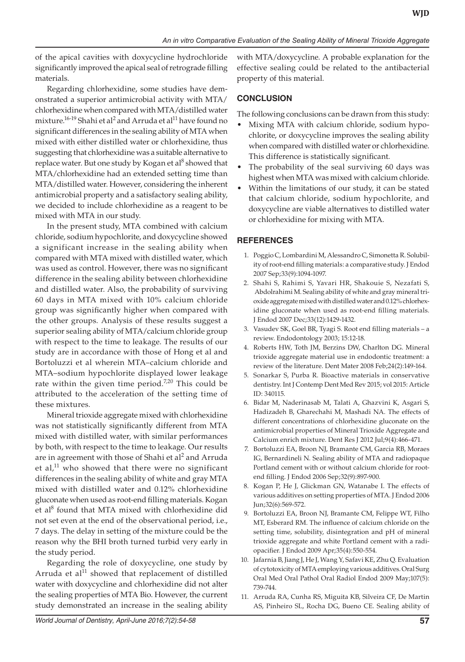of the apical cavities with doxycycline hydrochloride significantly improved the apical seal of retrograde filling materials.

Regarding chlorhexidine, some studies have demonstrated a superior antimicrobial activity with MTA/ chlorhexidine when compared with MTA/distilled water mixture.<sup>16-19</sup> Shahi et al<sup>2</sup> and Arruda et al<sup>11</sup> have found no significant differences in the sealing ability of MTA when mixed with either distilled water or chlorhexidine, thus suggesting that chlorhexidine was a suitable alternative to replace water. But one study by Kogan et al<sup>8</sup> showed that MTA/chlorhexidine had an extended setting time than MTA/distilled water. However, considering the inherent antimicrobial property and a satisfactory sealing ability, we decided to include chlorhexidine as a reagent to be mixed with MTA in our study.

In the present study, MTA combined with calcium chloride, sodium hypochlorite, and doxycycline showed a significant increase in the sealing ability when compared with MTA mixed with distilled water, which was used as control. However, there was no significant difference in the sealing ability between chlorhexidine and distilled water. Also, the probability of surviving 60 days in MTA mixed with 10% calcium chloride group was significantly higher when compared with the other groups. Analysis of these results suggest a superior sealing ability of MTA/calcium chloride group with respect to the time to leakage. The results of our study are in accordance with those of Hong et al and Bortoluzzi et al wherein MTA–calcium chloride and MTA–sodium hypochlorite displayed lower leakage rate within the given time period.<sup>7,20</sup> This could be attributed to the acceleration of the setting time of these mixtures.

Mineral trioxide aggregate mixed with chlorhexidine was not statistically significantly different from MTA mixed with distilled water, with similar performances by both, with respect to the time to leakage. Our results are in agreement with those of Shahi et al $^2$  and Arruda et al, $11$  who showed that there were no significant differences in the sealing ability of white and gray MTA mixed with distilled water and 0.12% chlorhexidine gluconate when used as root-end filling materials. Kogan et al<sup>8</sup> found that MTA mixed with chlorhexidine did not set even at the end of the observational period, i.e., 7 days. The delay in setting of the mixture could be the reason why the BHI broth turned turbid very early in the study period.

Regarding the role of doxycycline, one study by Arruda et  $al<sup>11</sup>$  showed that replacement of distilled water with doxycycline and chlorhexidine did not alter the sealing properties of MTA Bio. However, the current study demonstrated an increase in the sealing ability

with MTA/doxycycline. A probable explanation for the effective sealing could be related to the antibacterial property of this material.

### **CONCLUSION**

The following conclusions can be drawn from this study:

- Mixing MTA with calcium chloride, sodium hypochlorite, or doxycycline improves the sealing ability when compared with distilled water or chlorhexidine. This difference is statistically significant.
- The probability of the seal surviving 60 days was highest when MTA was mixed with calcium chloride.
- Within the limitations of our study, it can be stated that calcium chloride, sodium hypochlorite, and doxycycline are viable alternatives to distilled water or chlorhexidine for mixing with MTA.

#### **REFERENCES**

- 1. Poggio C, Lombardini M, Alessandro C, Simonetta R. Solubility of root-end filling materials: a comparative study. J Endod 2007 Sep;33(9):1094-1097.
- 2. Shahi S, Rahimi S, Yavari HR, Shakouie S, Nezafati S, Abdolrahimi M. Sealing ability of white and gray mineral trioxide aggregate mixed with distilled water and 0.12% chlorhexidine gluconate when used as root-end filling materials. J Endod 2007 Dec;33(12):1429-1432.
- 3. Vasudev SK, Goel BR, Tyagi S. Root end filling materials a review. Endodontology 2003; 15:12-18.
- 4. Roberts HW, Toth JM, Berzins DW, Charlton DG. Mineral trioxide aggregate material use in endodontic treatment: a review of the literature. Dent Mater 2008 Feb;24(2):149-164.
- 5. Sonarkar S, Purba R. Bioactive materials in conservative dentistry. Int J Contemp Dent Med Rev 2015; vol 2015: Article ID: 340115.
- 6. Bidar M, Naderinasab M, Talati A, Ghazvini K, Asgari S, Hadizadeh B, Gharechahi M, Mashadi NA. The effects of different concentrations of chlorhexidine gluconate on the antimicrobial properties of Mineral Trioxide Aggregate and Calcium enrich mixture. Dent Res J 2012 Jul;9(4):466-471.
- 7. Bortoluzzi EA, Broon NJ, Bramante CM, Garcia RB, Moraes IG, Bernardineli N. Sealing ability of MTA and radiopaque Portland cement with or without calcium chloride for rootend filling. J Endod 2006 Sep;32(9):897-900.
- 8. Kogan P, He J, Glickman GN, Watanabe I. The effects of various additives on setting properties of MTA. J Endod 2006 Jun;32(6):569-572.
- 9. Bortoluzzi EA, Broon NJ, Bramante CM, Felippe WT, Filho MT, Esberard RM. The influence of calcium chloride on the setting time, solubility, disintegration and pH of mineral trioxide aggregate and white Portland cement with a radiopacifier. J Endod 2009 Apr;35(4):550-554.
- 10. Jafarnia B, Jiang J, He J, Wang Y, Safavi KE, Zhu Q. Evaluation of cytotoxicity of MTA employing various additives. Oral Surg Oral Med Oral Pathol Oral Radiol Endod 2009 May;107(5): 739-744.
- 11. Arruda RA, Cunha RS, Miguita KB, Silveira CF, De Martin AS, Pinheiro SL, Rocha DG, Bueno CE. Sealing ability of